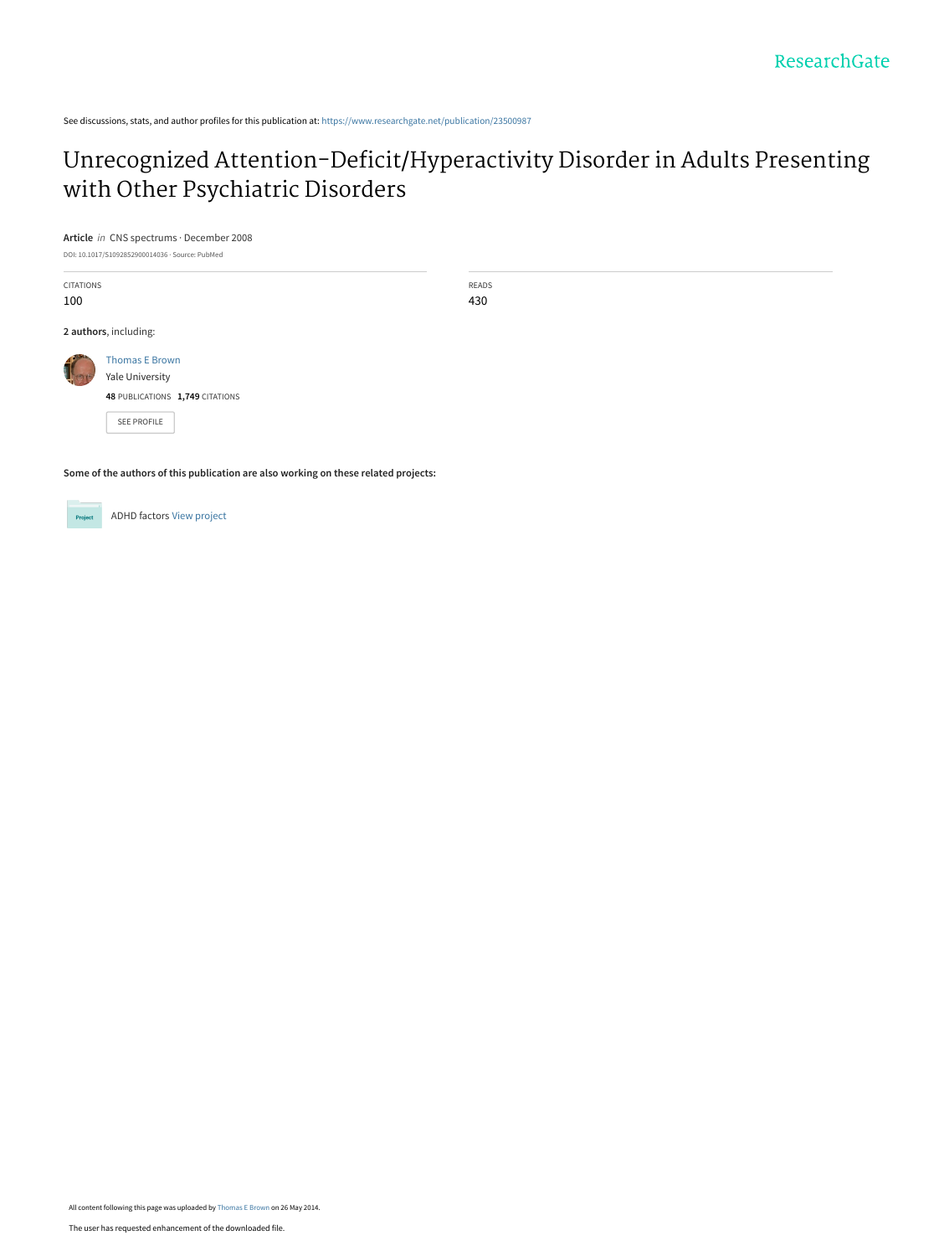# [Unrecognized Attention-Deficit/Hyperactivity Disorder in Adults Presenting](https://www.researchgate.net/publication/23500987_Unrecognized_Attention-DeficitHyperactivity_Disorder_in_Adults_Presenting_with_Other_Psychiatric_Disorders?enrichId=rgreq-c8949cd52bdf93b5856fd0a961586922-XXX&enrichSource=Y292ZXJQYWdlOzIzNTAwOTg3O0FTOjEwMTE0MTE1NzI1MzEzNUAxNDAxMTI1MzQwMjI0&el=1_x_3&_esc=publicationCoverPdf) with Other Psychiatric Disorders

**Article** in CNS spectrums · December 2008

DOI: 10.1017/S1092852900014036 · Source: PubMed

CITATIONS 100

READS 430

**2 authors**, including:

[Thomas E Brown](https://www.researchgate.net/profile/Thomas_Brown14?enrichId=rgreq-c8949cd52bdf93b5856fd0a961586922-XXX&enrichSource=Y292ZXJQYWdlOzIzNTAwOTg3O0FTOjEwMTE0MTE1NzI1MzEzNUAxNDAxMTI1MzQwMjI0&el=1_x_5&_esc=publicationCoverPdf) [Yale University](https://www.researchgate.net/institution/Yale_University?enrichId=rgreq-c8949cd52bdf93b5856fd0a961586922-XXX&enrichSource=Y292ZXJQYWdlOzIzNTAwOTg3O0FTOjEwMTE0MTE1NzI1MzEzNUAxNDAxMTI1MzQwMjI0&el=1_x_6&_esc=publicationCoverPdf) **48** PUBLICATIONS **1,749** CITATIONS [SEE PROFILE](https://www.researchgate.net/profile/Thomas_Brown14?enrichId=rgreq-c8949cd52bdf93b5856fd0a961586922-XXX&enrichSource=Y292ZXJQYWdlOzIzNTAwOTg3O0FTOjEwMTE0MTE1NzI1MzEzNUAxNDAxMTI1MzQwMjI0&el=1_x_7&_esc=publicationCoverPdf)

**Some of the authors of this publication are also working on these related projects:**



ADHD factors [View project](https://www.researchgate.net/project/ADHD-factors?enrichId=rgreq-c8949cd52bdf93b5856fd0a961586922-XXX&enrichSource=Y292ZXJQYWdlOzIzNTAwOTg3O0FTOjEwMTE0MTE1NzI1MzEzNUAxNDAxMTI1MzQwMjI0&el=1_x_9&_esc=publicationCoverPdf)

All content following this page was uploaded by [Thomas E Brown](https://www.researchgate.net/profile/Thomas_Brown14?enrichId=rgreq-c8949cd52bdf93b5856fd0a961586922-XXX&enrichSource=Y292ZXJQYWdlOzIzNTAwOTg3O0FTOjEwMTE0MTE1NzI1MzEzNUAxNDAxMTI1MzQwMjI0&el=1_x_10&_esc=publicationCoverPdf) on 26 May 2014.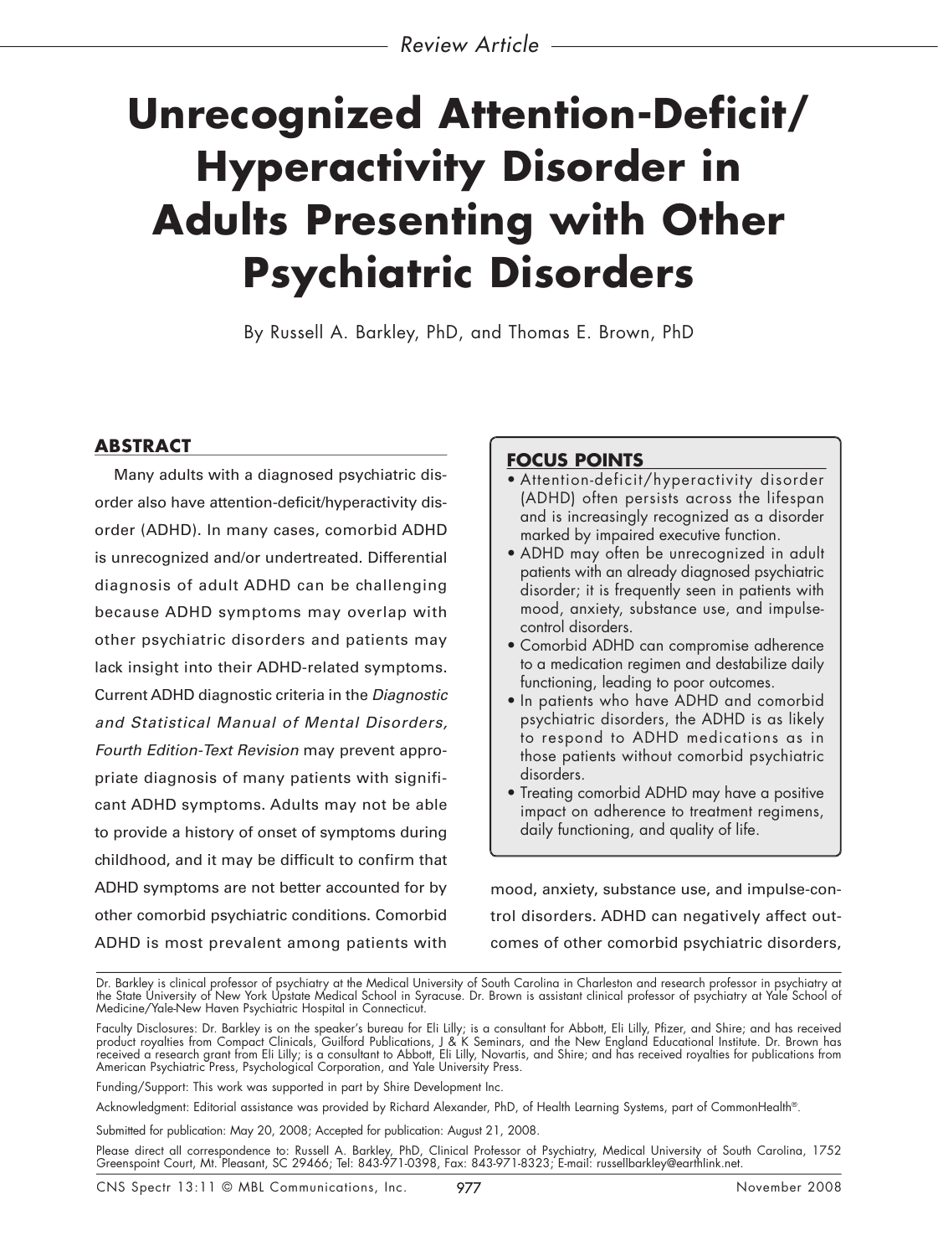# **Unrecognized Attention-Deficit/ Hyperactivity Disorder in Adults Presenting with Other Psychiatric Disorders**

By Russell A. Barkley, PhD, and Thomas E. Brown, PhD

# **ABSTRACT**

Many adults with a diagnosed psychiatric disorder also have attention-deficit/hyperactivity disorder (ADHD). In many cases, comorbid ADHD is unrecognized and/or undertreated. Differential diagnosis of adult ADHD can be challenging because ADHD symptoms may overlap with other psychiatric disorders and patients may lack insight into their ADHD-related symptoms. Current ADHD diagnostic criteria in the Diagnostic and Statistical Manual of Mental Disorders, Fourth Edition-Text Revision may prevent appropriate diagnosis of many patients with significant ADHD symptoms. Adults may not be able to provide a history of onset of symptoms during childhood, and it may be difficult to confirm that ADHD symptoms are not better accounted for by other comorbid psychiatric conditions. Comorbid ADHD is most prevalent among patients with

# **FOCUS POINTS**

- Attention-deficit/hyperactivity disorder (ADHD) often persists across the lifespan and is increasingly recognized as a disorder marked by impaired executive function.
- ADHD may often be unrecognized in adult patients with an already diagnosed psychiatric disorder; it is frequently seen in patients with mood, anxiety, substance use, and impulsecontrol disorders.
- Comorbid ADHD can compromise adherence to a medication regimen and destabilize daily functioning, leading to poor outcomes.
- In patients who have ADHD and comorbid psychiatric disorders, the ADHD is as likely to respond to ADHD medications as in those patients without comorbid psychiatric disorders.
- Treating comorbid ADHD may have a positive impact on adherence to treatment regimens, daily functioning, and quality of life.

mood, anxiety, substance use, and impulse-control disorders. ADHD can negatively affect outcomes of other comorbid psychiatric disorders,

Dr. Barkley is clinical professor of psychiatry at the Medical University of South Carolina in Charleston and research professor in psychiatry at the State University of New York Upstate Medical School in Syracuse. Dr. Brown is assistant clinical professor of psychiatry at Yale School of Medicine/Yale-New Haven Psychiatric Hospital in Connecticut.

Faculty Disclosures: Dr. Barkley is on the speaker's bureau for Eli Lilly; is a consultant for Abbott, Eli Lilly, Pfizer, and Shire; and has received product royalties from Compact Clinicals, Guilford Publications, J & K Seminars, and the New England Educational Institute. Dr. Brown has received a research grant from Eli Lilly; is a consultant to Abbott, Eli Lilly, Novartis, and Shire; and has received royalties for publications from American Psychiatric Press, Psychological Corporation, and Yale University Press.

Funding/Support: This work was supported in part by Shire Development Inc.

Acknowledgment: Editorial assistance was provided by Richard Alexander, PhD, of Health Learning Systems, part of CommonHealth®.

Submitted for publication: May 20, 2008; Accepted for publication: August 21, 2008.

Please direct all correspondence to: Russell A. Barkley, PhD, Clinical Professor of Psychiatry, Medical University of South Carolina, 1752 Greenspoint Court, Mt. Pleasant, SC 29466; Tel: 843-971-0398, Fax: 843-971-8323; E-mail: russellbarkley@earthlink.net. 843-971-8323; E-mail: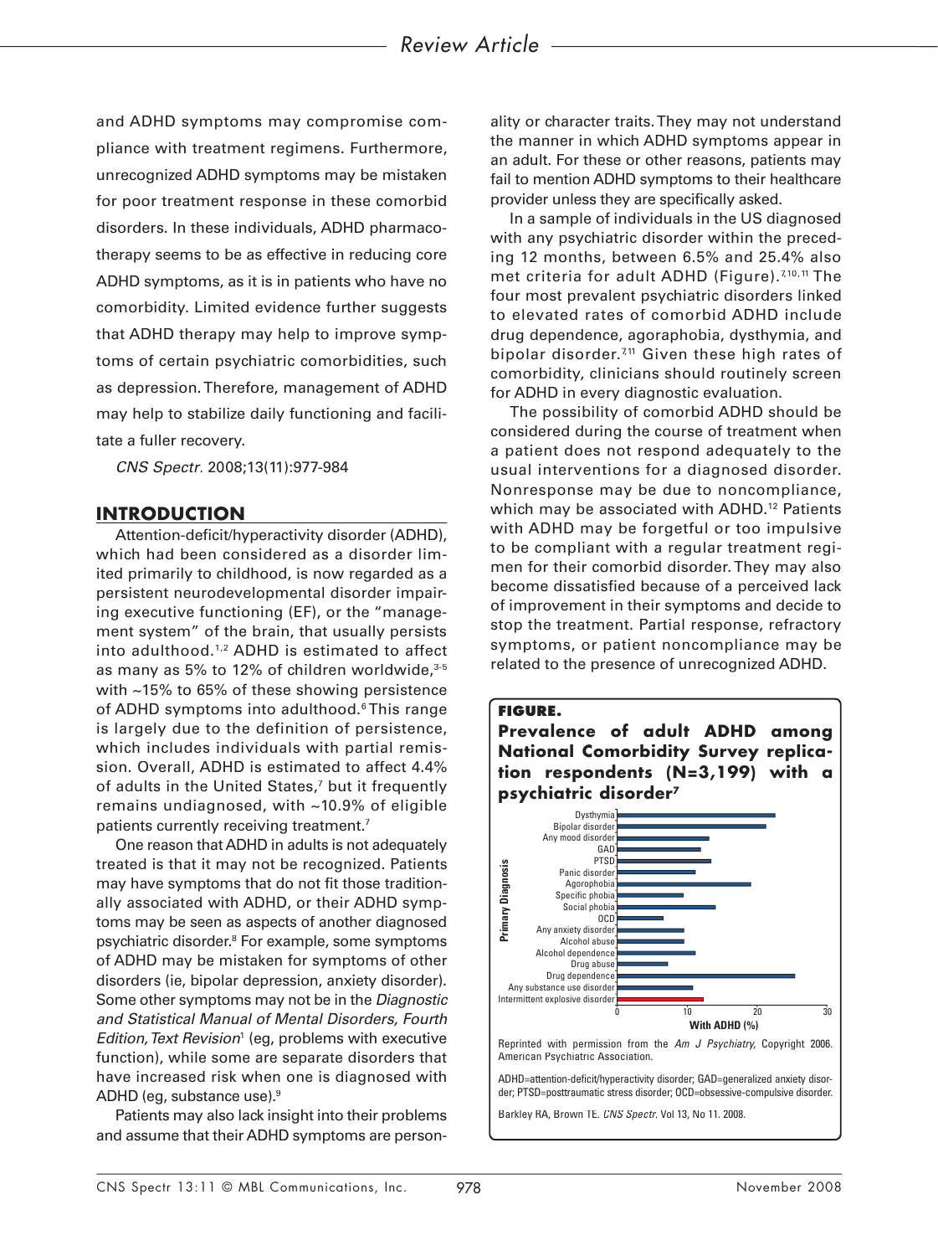and ADHD symptoms may compromise compliance with treatment regimens. Furthermore, unrecognized ADHD symptoms may be mistaken for poor treatment response in these comorbid disorders. In these individuals, ADHD pharmacotherapy seems to be as effective in reducing core ADHD symptoms, as it is in patients who have no comorbidity. Limited evidence further suggests that ADHD therapy may help to improve symptoms of certain psychiatric comorbidities, such as depression. Therefore, management of ADHD may help to stabilize daily functioning and facilitate a fuller recovery.

CNS Spectr. 2008;13(11):977-984

#### **INTRODUCTION**

Attention-deficit/hyperactivity disorder (ADHD), which had been considered as a disorder limited primarily to childhood, is now regarded as a persistent neurodevelopmental disorder impairing executive functioning (EF), or the "management system" of the brain, that usually persists into adulthood.1,2 ADHD is estimated to affect as many as 5% to 12% of children worldwide, $3-5$ with ~15% to 65% of these showing persistence of ADHD symptoms into adulthood.<sup>6</sup> This range is largely due to the definition of persistence, which includes individuals with partial remission. Overall, ADHD is estimated to affect 4.4% of adults in the United States,<sup>7</sup> but it frequently remains undiagnosed, with ~10.9% of eligible patients currently receiving treatment.7

One reason that ADHD in adults is not adequately treated is that it may not be recognized. Patients may have symptoms that do not fit those traditionally associated with ADHD, or their ADHD symptoms may be seen as aspects of another diagnosed psychiatric disorder.8 For example, some symptoms of ADHD may be mistaken for symptoms of other disorders (ie, bipolar depression, anxiety disorder). Some other symptoms may not be in the Diagnostic and Statistical Manual of Mental Disorders, Fourth Edition, Text Revision<sup>1</sup> (eg, problems with executive function), while some are separate disorders that have increased risk when one is diagnosed with ADHD (eg, substance use).<sup>9</sup>

Patients may also lack insight into their problems and assume that their ADHD symptoms are personality or character traits. They may not understand the manner in which ADHD symptoms appear in an adult. For these or other reasons, patients may fail to mention ADHD symptoms to their healthcare provider unless they are specifically asked.

In a sample of individuals in the US diagnosed with any psychiatric disorder within the preceding 12 months, between 6.5% and 25.4% also met criteria for adult ADHD (Figure). $710,11$  The four most prevalent psychiatric disorders linked to elevated rates of comorbid ADHD include drug dependence, agoraphobia, dysthymia, and bipolar disorder. $711$  Given these high rates of comorbidity, clinicians should routinely screen for ADHD in every diagnostic evaluation.

The possibility of comorbid ADHD should be considered during the course of treatment when a patient does not respond adequately to the usual interventions for a diagnosed disorder. Nonresponse may be due to noncompliance, which may be associated with ADHD.<sup>12</sup> Patients with ADHD may be forgetful or too impulsive to be compliant with a regular treatment regimen for their comorbid disorder. They may also become dissatisfied because of a perceived lack of improvement in their symptoms and decide to stop the treatment. Partial response, refractory symptoms, or patient noncompliance may be related to the presence of unrecognized ADHD.

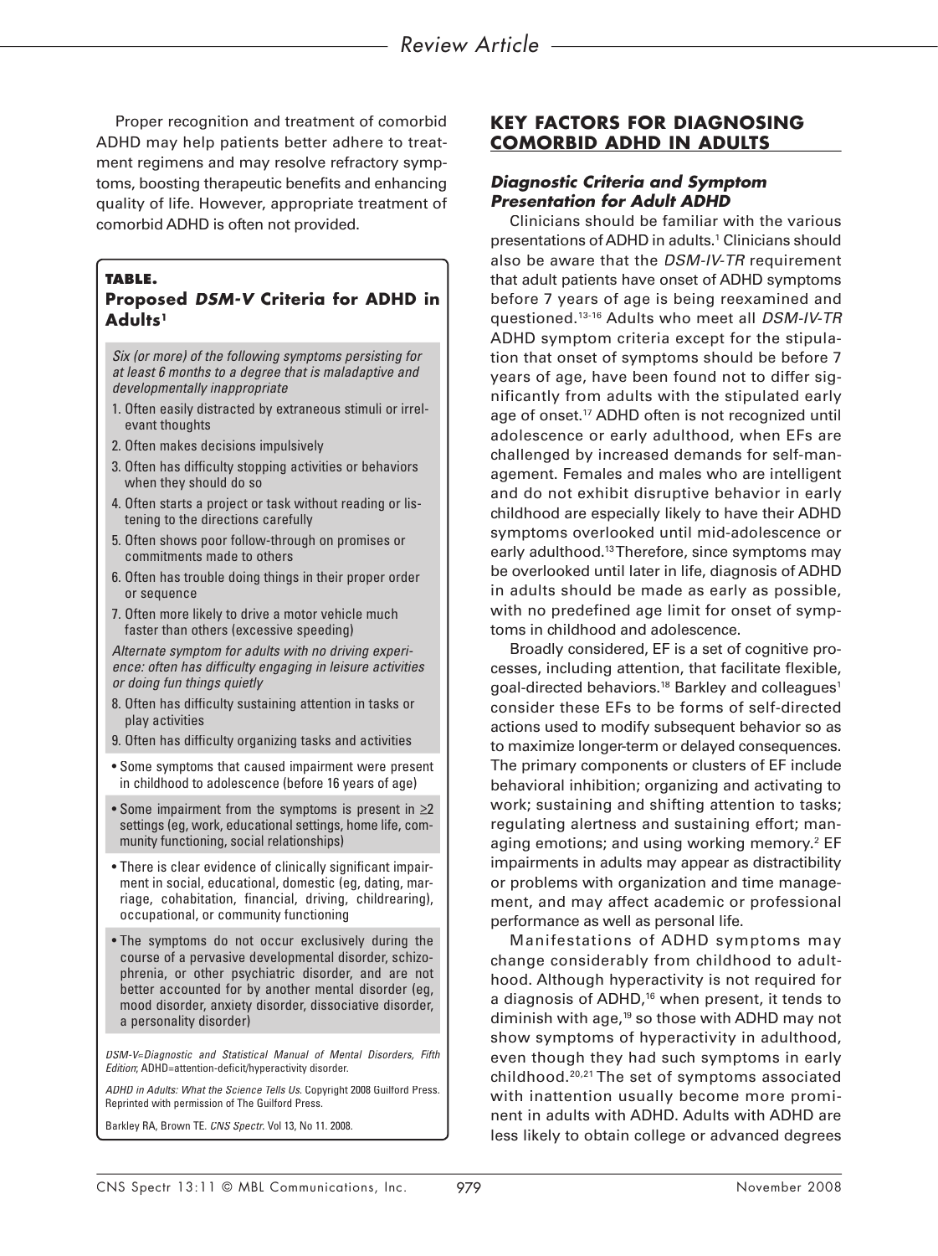Proper recognition and treatment of comorbid ADHD may help patients better adhere to treatment regimens and may resolve refractory symptoms, boosting therapeutic benefits and enhancing quality of life. However, appropriate treatment of comorbid ADHD is often not provided.

#### **TABLE.**

#### **Proposed DSM-V Criteria for ADHD in Criteria for ADHD in Adults1**

Six (or more) of the following symptoms persisting for at least 6 months to a degree that is maladaptive and developmentally inappropriate

- 1. Often easily distracted by extraneous stimuli or irrelevant thoughts
- 2. Often makes decisions impulsively
- 3. Often has difficulty stopping activities or behaviors when they should do so
- 4. Often starts a project or task without reading or listening to the directions carefully
- 5. Often shows poor follow-through on promises or commitments made to others
- 6. Often has trouble doing things in their proper order or sequence
- 7. Often more likely to drive a motor vehicle much faster than others (excessive speeding)

Alternate symptom for adults with no driving experience: often has difficulty engaging in leisure activities or doing fun things quietly

- 8. Often has difficulty sustaining attention in tasks or play activities
- 9. Often has difficulty organizing tasks and activities
- Some symptoms that caused impairment were present in childhood to adolescence (before 16 years of age)
- Some impairment from the symptoms is present in  $\geq 2$ settings (eg, work, educational settings, home life, community functioning, social relationships)
- There is clear evidence of clinically significant impairment in social, educational, domestic (eg, dating, marriage, cohabitation, financial, driving, childrearing), occupational, or community functioning
- The symptoms do not occur exclusively during the course of a pervasive developmental disorder, schizophrenia, or other psychiatric disorder, and are not better accounted for by another mental disorder (eg, mood disorder, anxiety disorder, dissociative disorder, a personality disorder)

DSM-V=Diagnostic and Statistical Manual of Mental Disorders, Fifth Edition; ADHD=attention-deficit/hyperactivity disorder.

ADHD in Adults: What the Science Tells Us. Copyright 2008 Guilford Press. Reprinted with permission of The Guilford Press.

Barkley RA, Brown TE. CNS Spectr. Vol 13, No 11. 2008.

### **KEY FACTORS FOR DIAGNOSING COMORBID ADHD IN ADULTS**

### **Diagnostic Criteria and Symptom Presentation for Adult ADHD**

Clinicians should be familiar with the various presentations of ADHD in adults.1 Clinicians should also be aware that the DSM-IV-TR requirement that adult patients have onset of ADHD symptoms before 7 years of age is being reexamined and questioned.13-16 Adults who meet all DSM-IV-TR ADHD symptom criteria except for the stipulation that onset of symptoms should be before 7 years of age, have been found not to differ significantly from adults with the stipulated early age of onset.<sup>17</sup> ADHD often is not recognized until adolescence or early adulthood, when EFs are challenged by increased demands for self-management. Females and males who are intelligent and do not exhibit disruptive behavior in early childhood are especially likely to have their ADHD symptoms overlooked until mid-adolescence or early adulthood.13 Therefore, since symptoms may be overlooked until later in life, diagnosis of ADHD in adults should be made as early as possible, with no predefined age limit for onset of symptoms in childhood and adolescence.

Broadly considered, EF is a set of cognitive processes, including attention, that facilitate flexible, goal-directed behaviors.<sup>18</sup> Barkley and colleagues<sup>1</sup> consider these EFs to be forms of self-directed actions used to modify subsequent behavior so as to maximize longer-term or delayed consequences. The primary components or clusters of EF include behavioral inhibition; organizing and activating to work; sustaining and shifting attention to tasks; regulating alertness and sustaining effort; managing emotions; and using working memory.<sup>2</sup> EF impairments in adults may appear as distractibility or problems with organization and time management, and may affect academic or professional performance as well as personal life.

Manifestations of ADHD symptoms may change considerably from childhood to adulthood. Although hyperactivity is not required for a diagnosis of ADHD, $16$  when present, it tends to diminish with age,19 so those with ADHD may not show symptoms of hyperactivity in adulthood, even though they had such symptoms in early childhood.20,21 The set of symptoms associated with inattention usually become more prominent in adults with ADHD. Adults with ADHD are less likely to obtain college or advanced degrees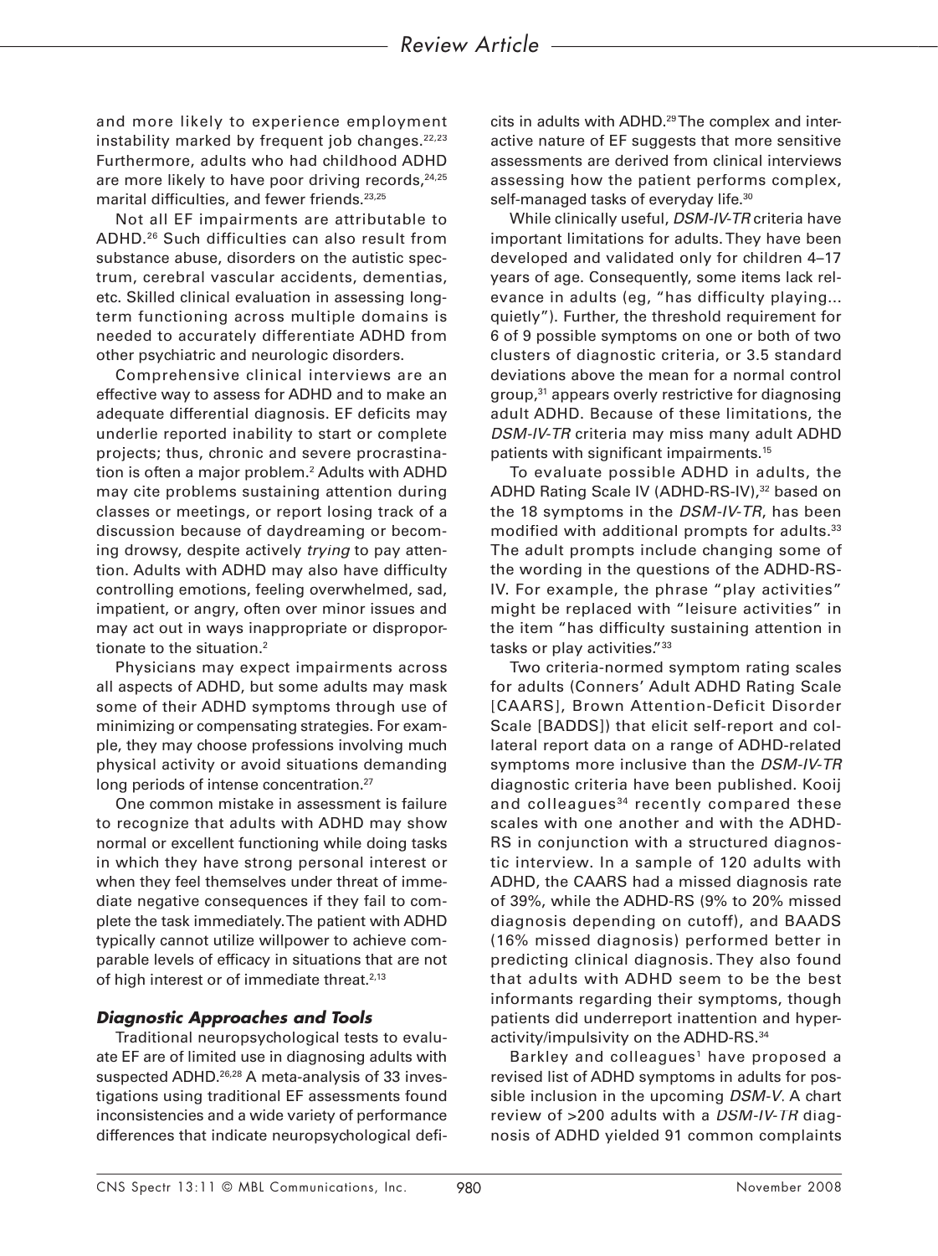and more likely to experience employment instability marked by frequent job changes.<sup>22,23</sup> Furthermore, adults who had childhood ADHD are more likely to have poor driving records, $24,25$ marital difficulties, and fewer friends.<sup>23,25</sup>

Not all EF impairments are attributable to ADHD.26 Such difficulties can also result from substance abuse, disorders on the autistic spectrum, cerebral vascular accidents, dementias, etc. Skilled clinical evaluation in assessing longterm functioning across multiple domains is needed to accurately differentiate ADHD from other psychiatric and neurologic disorders.

Comprehensive clinical interviews are an effective way to assess for ADHD and to make an adequate differential diagnosis. EF deficits may underlie reported inability to start or complete projects; thus, chronic and severe procrastination is often a major problem.2 Adults with ADHD may cite problems sustaining attention during classes or meetings, or report losing track of a discussion because of daydreaming or becoming drowsy, despite actively trying to pay attention. Adults with ADHD may also have difficulty controlling emotions, feeling overwhelmed, sad, impatient, or angry, often over minor issues and may act out in ways inappropriate or disproportionate to the situation.<sup>2</sup>

Physicians may expect impairments across all aspects of ADHD, but some adults may mask some of their ADHD symptoms through use of minimizing or compensating strategies. For example, they may choose professions involving much physical activity or avoid situations demanding long periods of intense concentration.<sup>27</sup>

One common mistake in assessment is failure to recognize that adults with ADHD may show normal or excellent functioning while doing tasks in which they have strong personal interest or when they feel themselves under threat of immediate negative consequences if they fail to complete the task immediately. The patient with ADHD typically cannot utilize willpower to achieve comparable levels of efficacy in situations that are not of high interest or of immediate threat.<sup>2,13</sup>

# **Diagnostic Approaches and Tools**

Traditional neuropsychological tests to evaluate EF are of limited use in diagnosing adults with suspected ADHD.<sup>26,28</sup> A meta-analysis of 33 investigations using traditional EF assessments found inconsistencies and a wide variety of performance differences that indicate neuropsychological deficits in adults with ADHD.<sup>29</sup> The complex and interactive nature of EF suggests that more sensitive assessments are derived from clinical interviews assessing how the patient performs complex, self-managed tasks of everyday life.<sup>30</sup>

While clinically useful, DSM-IV-TR criteria have important limitations for adults. They have been developed and validated only for children 4–17 years of age. Consequently, some items lack relevance in adults (eg, "has difficulty playing... quietly"). Further, the threshold requirement for 6 of 9 possible symptoms on one or both of two clusters of diagnostic criteria, or 3.5 standard deviations above the mean for a normal control group,<sup>31</sup> appears overly restrictive for diagnosing adult ADHD. Because of these limitations, the DSM-IV-TR criteria may miss many adult ADHD patients with significant impairments.15

To evaluate possible ADHD in adults, the ADHD Rating Scale IV (ADHD-RS-IV),<sup>32</sup> based on the 18 symptoms in the DSM-IV-TR, has been modified with additional prompts for adults.33 The adult prompts include changing some of the wording in the questions of the ADHD-RS-IV. For example, the phrase "play activities" might be replaced with "leisure activities" in the item "has difficulty sustaining attention in tasks or play activities."33

Two criteria-normed symptom rating scales for adults (Conners' Adult ADHD Rating Scale [CAARS], Brown Attention-Deficit Disorder Scale [BADDS]) that elicit self-report and collateral report data on a range of ADHD-related symptoms more inclusive than the DSM-IV-TR diagnostic criteria have been published. Kooij and colleagues<sup>34</sup> recently compared these scales with one another and with the ADHD-RS in conjunction with a structured diagnostic interview. In a sample of 120 adults with ADHD, the CAARS had a missed diagnosis rate of 39%, while the ADHD-RS (9% to 20% missed diagnosis depending on cutoff), and BAADS (16% missed diagnosis) performed better in predicting clinical diagnosis. They also found that adults with ADHD seem to be the best informants regarding their symptoms, though patients did underreport inattention and hyperactivity/impulsivity on the ADHD-RS.34

Barkley and colleagues<sup>1</sup> have proposed a revised list of ADHD symptoms in adults for possible inclusion in the upcoming  $DSM-V$ . A chart review of >200 adults with a DSM-IV-TR diagnosis of ADHD yielded 91 common complaints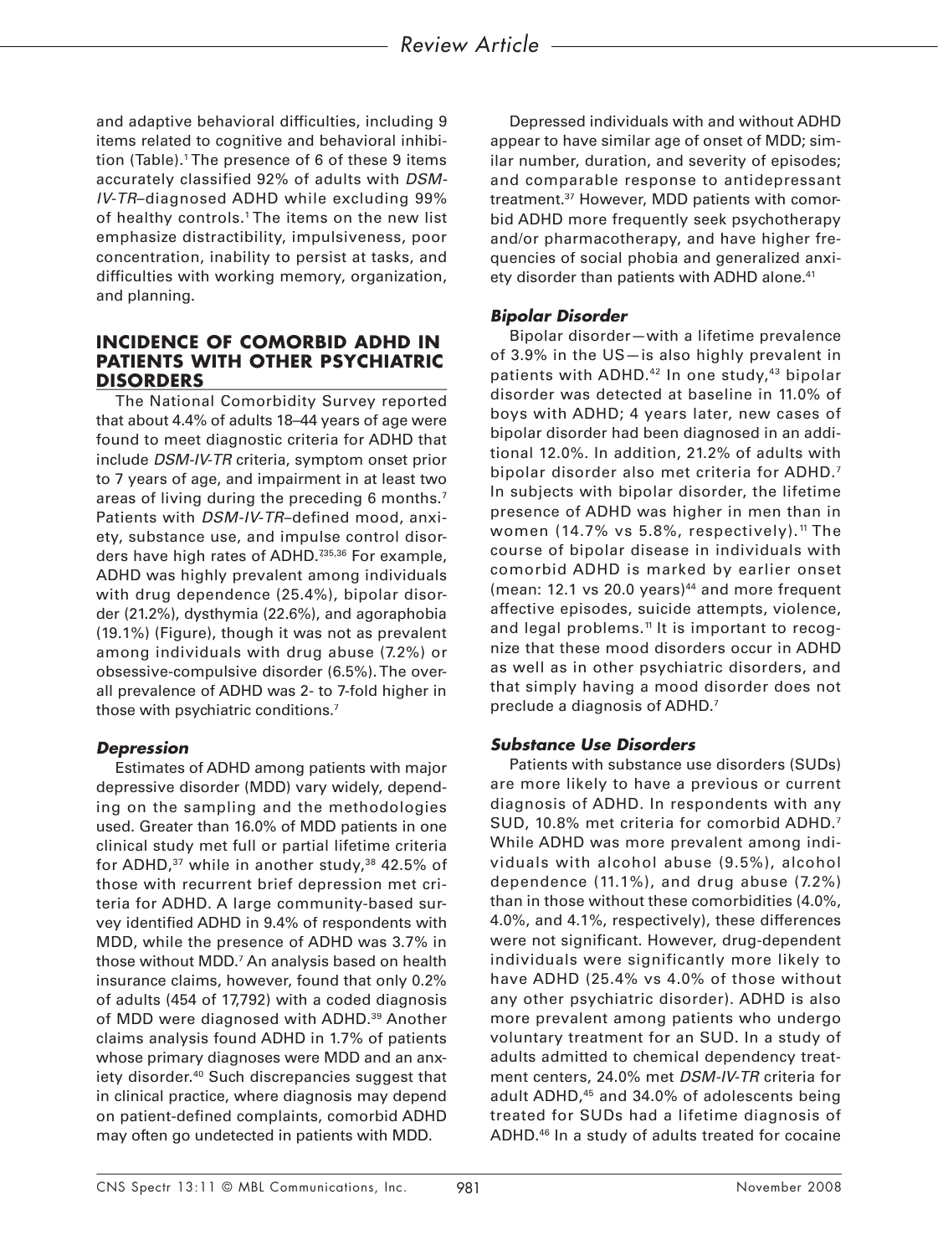and adaptive behavioral difficulties, including 9 items related to cognitive and behavioral inhibition (Table).<sup>1</sup> The presence of 6 of these 9 items accurately classified 92% of adults with DSM-IV-TR–diagnosed ADHD while excluding 99% of healthy controls.1 The items on the new list emphasize distractibility, impulsiveness, poor concentration, inability to persist at tasks, and difficulties with working memory, organization, and planning.

# **INCIDENCE OF COMORBID ADHD IN PATIENTS WITH OTHER PSYCHIATRIC DISORDERS**

The National Comorbidity Survey reported that about 4.4% of adults 18–44 years of age were found to meet diagnostic criteria for ADHD that include DSM-IV-TR criteria, symptom onset prior to 7 years of age, and impairment in at least two areas of living during the preceding 6 months.<sup>7</sup> Patients with DSM-IV-TR-defined mood, anxiety, substance use, and impulse control disorders have high rates of ADHD.<sup>735,36</sup> For example, ADHD was highly prevalent among individuals with drug dependence (25.4%), bipolar disorder (21.2%), dysthymia (22.6%), and agoraphobia (19.1%) (Figure), though it was not as prevalent among individuals with drug abuse (7.2%) or obsessive-compulsive disorder (6.5%). The overall prevalence of ADHD was 2- to 7-fold higher in those with psychiatric conditions.<sup>7</sup>

#### **Depression**

Estimates of ADHD among patients with major depressive disorder (MDD) vary widely, depending on the sampling and the methodologies used. Greater than 16.0% of MDD patients in one clinical study met full or partial lifetime criteria for ADHD, $37$  while in another study, $38$  42.5% of those with recurrent brief depression met criteria for ADHD. A large community-based survey identified ADHD in 9.4% of respondents with MDD, while the presence of ADHD was 3.7% in those without MDD.<sup>7</sup> An analysis based on health insurance claims, however, found that only 0.2% of adults (454 of 17,792) with a coded diagnosis of MDD were diagnosed with ADHD.<sup>39</sup> Another claims analysis found ADHD in 1.7% of patients whose primary diagnoses were MDD and an anxiety disorder.<sup>40</sup> Such discrepancies suggest that in clinical practice, where diagnosis may depend on patient-defined complaints, comorbid ADHD may often go undetected in patients with MDD.

Depressed individuals with and without ADHD appear to have similar age of onset of MDD; similar number, duration, and severity of episodes; and comparable response to antidepressant treatment.37 However, MDD patients with comorbid ADHD more frequently seek psychotherapy and/or pharmacotherapy, and have higher frequencies of social phobia and generalized anxiety disorder than patients with ADHD alone.<sup>41</sup>

# **Bipolar Disorder**

Bipolar disorder—with a lifetime prevalence of 3.9% in the US—is also highly prevalent in patients with ADHD.<sup>42</sup> In one study,<sup>43</sup> bipolar disorder was detected at baseline in 11.0% of boys with ADHD; 4 years later, new cases of bipolar disorder had been diagnosed in an additional 12.0%. In addition, 21.2% of adults with bipolar disorder also met criteria for ADHD.<sup>7</sup> In subjects with bipolar disorder, the lifetime presence of ADHD was higher in men than in women  $(14.7\%$  vs 5.8%, respectively).<sup>11</sup> The course of bipolar disease in individuals with comorbid ADHD is marked by earlier onset (mean: 12.1 vs 20.0 years) $44$  and more frequent affective episodes, suicide attempts, violence, and legal problems.<sup> $11$ </sup> It is important to recognize that these mood disorders occur in ADHD as well as in other psychiatric disorders, and that simply having a mood disorder does not preclude a diagnosis of ADHD.7

# **Substance Use Disorders**

Patients with substance use disorders (SUDs) are more likely to have a previous or current diagnosis of ADHD. In respondents with any SUD, 10.8% met criteria for comorbid ADHD.7 While ADHD was more prevalent among individuals with alcohol abuse (9.5%), alcohol dependence (11.1%), and drug abuse (7.2%) than in those without these comorbidities (4.0%, 4.0%, and 4.1%, respectively), these differences were not significant. However, drug-dependent individuals were significantly more likely to have ADHD (25.4% vs 4.0% of those without any other psychiatric disorder). ADHD is also more prevalent among patients who undergo voluntary treatment for an SUD. In a study of adults admitted to chemical dependency treatment centers, 24.0% met DSM-IV-TR criteria for adult ADHD,<sup>45</sup> and 34.0% of adolescents being treated for SUDs had a lifetime diagnosis of ADHD.46 In a study of adults treated for cocaine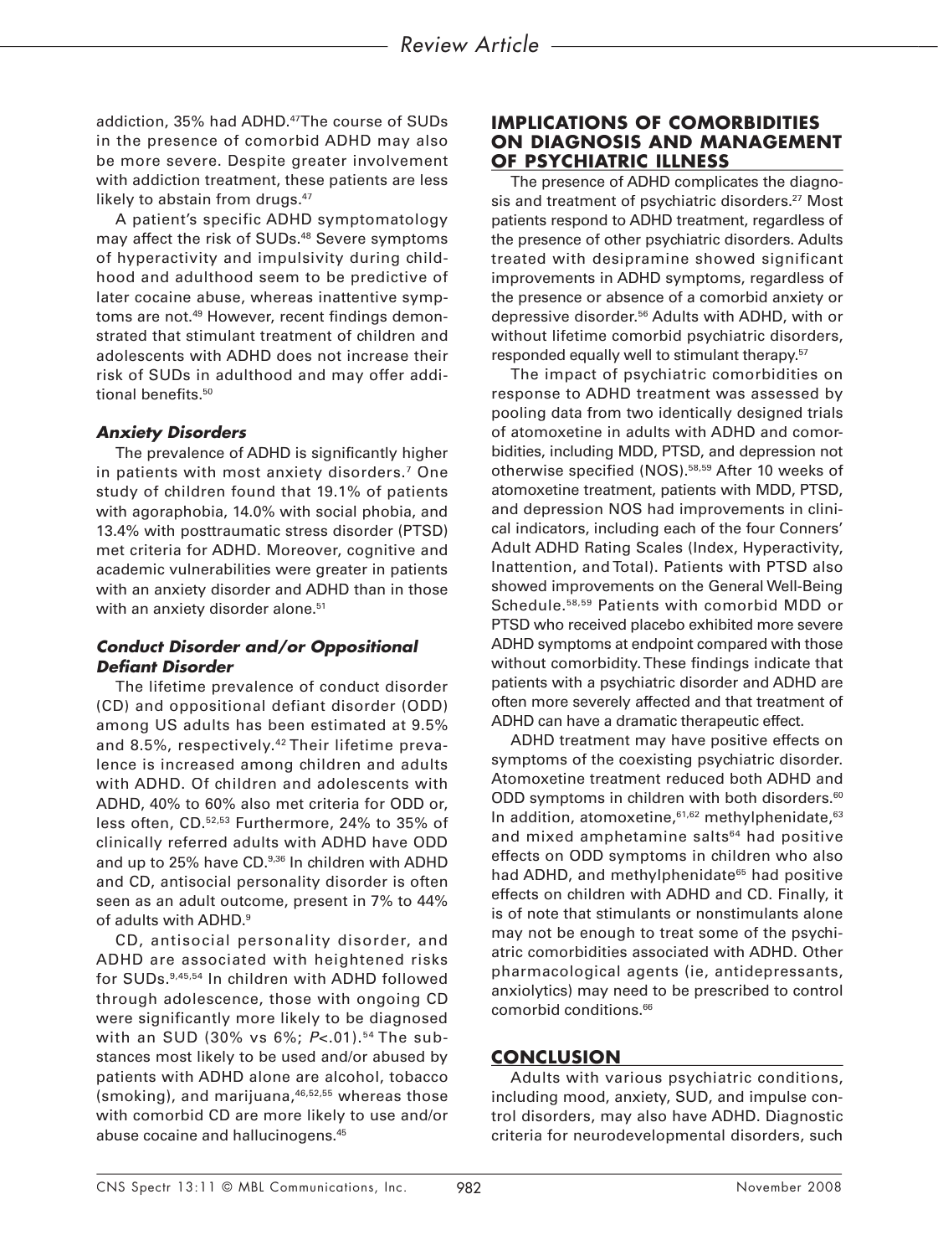addiction, 35% had ADHD.47 The course of SUDs in the presence of comorbid ADHD may also be more severe. Despite greater involvement with addiction treatment, these patients are less likely to abstain from drugs.<sup>47</sup>

A patient's specific ADHD symptomatology may affect the risk of SUDs.<sup>48</sup> Severe symptoms of hyperactivity and impulsivity during childhood and adulthood seem to be predictive of later cocaine abuse, whereas inattentive symptoms are not.<sup>49</sup> However, recent findings demonstrated that stimulant treatment of children and adolescents with ADHD does not increase their risk of SUDs in adulthood and may offer additional benefits.<sup>50</sup>

#### **Anxiety Disorders**

The prevalence of ADHD is significantly higher in patients with most anxiety disorders.7 One study of children found that 19.1% of patients with agoraphobia, 14.0% with social phobia, and 13.4% with posttraumatic stress disorder (PTSD) met criteria for ADHD. Moreover, cognitive and academic vulnerabilities were greater in patients with an anxiety disorder and ADHD than in those with an anxiety disorder alone.<sup>51</sup>

#### **Conduct Disorder and/or Oppositional Defiant Disorder**

The lifetime prevalence of conduct disorder (CD) and oppositional defiant disorder (ODD) among US adults has been estimated at 9.5% and 8.5%, respectively.<sup>42</sup> Their lifetime prevalence is increased among children and adults with ADHD. Of children and adolescents with ADHD, 40% to 60% also met criteria for ODD or, less often, CD.52,53 Furthermore, 24% to 35% of clinically referred adults with ADHD have ODD and up to 25% have CD.<sup>9,36</sup> In children with ADHD and CD, antisocial personality disorder is often seen as an adult outcome, present in 7% to 44% of adults with ADHD.<sup>9</sup>

CD, antisocial personality disorder, and ADHD are associated with heightened risks for SUDs.9,45,54 In children with ADHD followed through adolescence, those with ongoing CD were significantly more likely to be diagnosed with an SUD (30% vs  $6\%$ ;  $P$  <.01).<sup>54</sup> The substances most likely to be used and/or abused by patients with ADHD alone are alcohol, tobacco (smoking), and marijuana,46,52,55 whereas those with comorbid CD are more likely to use and/or abuse cocaine and hallucinogens.45

#### **IMPLICATIONS OF COMORBIDITIES ON DIAGNOSIS AND MANAGEMENT OF PSYCHIATRIC ILLNESS**

The presence of ADHD complicates the diagnosis and treatment of psychiatric disorders.<sup>27</sup> Most patients respond to ADHD treatment, regardless of the presence of other psychiatric disorders. Adults treated with desipramine showed significant improvements in ADHD symptoms, regardless of the presence or absence of a comorbid anxiety or depressive disorder.56 Adults with ADHD, with or without lifetime comorbid psychiatric disorders, responded equally well to stimulant therapy.<sup>57</sup>

The impact of psychiatric comorbidities on response to ADHD treatment was assessed by pooling data from two identically designed trials of atomoxetine in adults with ADHD and comorbidities, including MDD, PTSD, and depression not otherwise specified (NOS).58,59 After 10 weeks of atomoxetine treatment, patients with MDD, PTSD, and depression NOS had improvements in clinical indicators, including each of the four Conners' Adult ADHD Rating Scales (Index, Hyperactivity, Inattention, and Total). Patients with PTSD also showed improvements on the General Well-Being Schedule.58,59 Patients with comorbid MDD or PTSD who received placebo exhibited more severe ADHD symptoms at endpoint compared with those without comorbidity. These findings indicate that patients with a psychiatric disorder and ADHD are often more severely affected and that treatment of ADHD can have a dramatic therapeutic effect.

ADHD treatment may have positive effects on symptoms of the coexisting psychiatric disorder. Atomoxetine treatment reduced both ADHD and ODD symptoms in children with both disorders.<sup>60</sup> In addition, atomoxetine, $61,62$  methylphenidate, $63$ and mixed amphetamine salts<sup>64</sup> had positive effects on ODD symptoms in children who also had ADHD, and methylphenidate<sup>65</sup> had positive effects on children with ADHD and CD. Finally, it is of note that stimulants or nonstimulants alone may not be enough to treat some of the psychiatric comorbidities associated with ADHD. Other pharmacological agents (ie, antidepressants, anxiolytics) may need to be prescribed to control comorbid conditions.66

#### **CONCLUSION**

Adults with various psychiatric conditions, including mood, anxiety, SUD, and impulse control disorders, may also have ADHD. Diagnostic criteria for neurodevelopmental disorders, such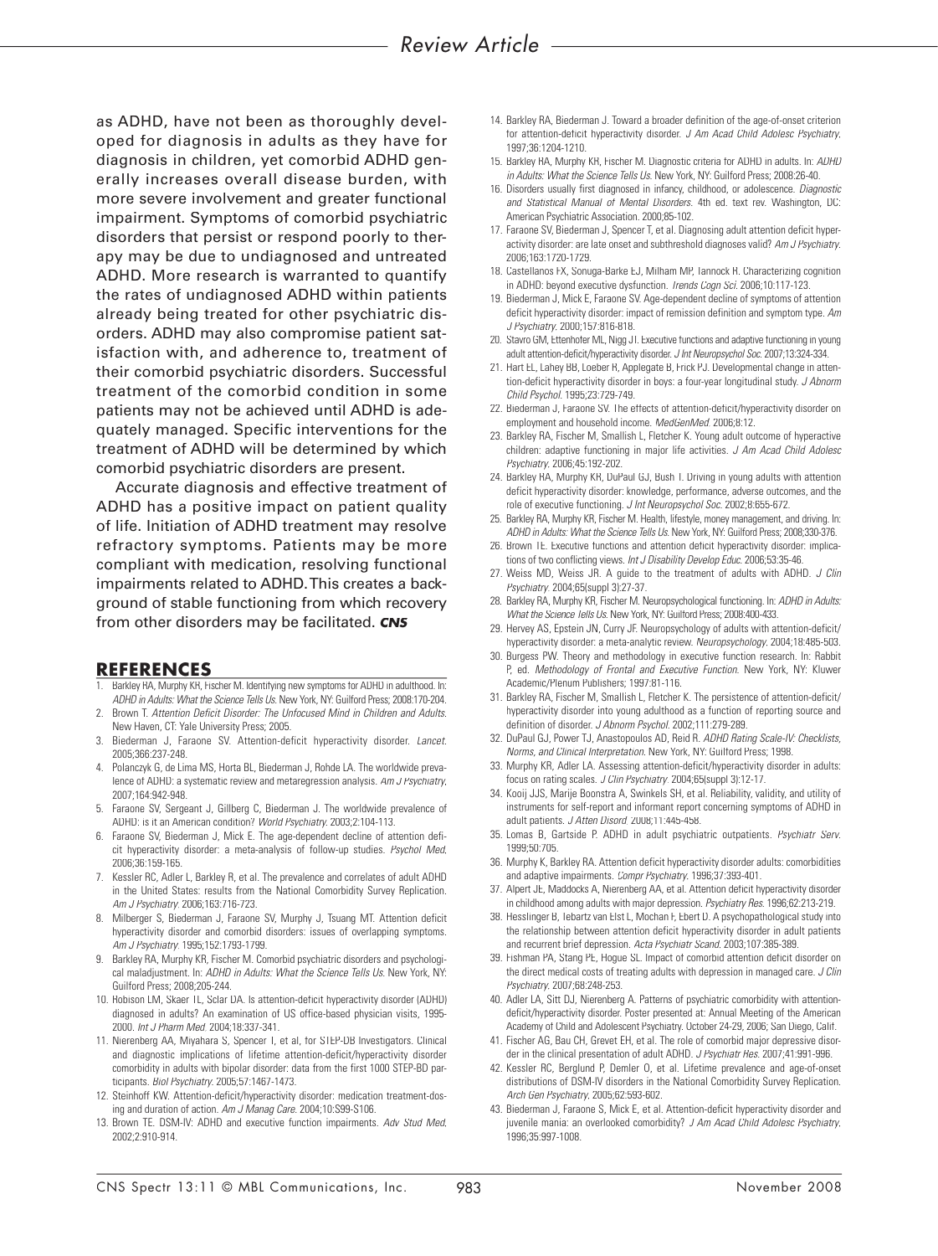as ADHD, have not been as thoroughly developed for diagnosis in adults as they have for diagnosis in children, yet comorbid ADHD generally increases overall disease burden, with more severe involvement and greater functional impairment. Symptoms of comorbid psychiatric disorders that persist or respond poorly to therapy may be due to undiagnosed and untreated ADHD. More research is warranted to quantify the rates of undiagnosed ADHD within patients already being treated for other psychiatric disorders. ADHD may also compromise patient satisfaction with, and adherence to, treatment of their comorbid psychiatric disorders. Successful treatment of the comorbid condition in some patients may not be achieved until ADHD is adequately managed. Specific interventions for the treatment of ADHD will be determined by which comorbid psychiatric disorders are present.

Accurate diagnosis and effective treatment of ADHD has a positive impact on patient quality of life. Initiation of ADHD treatment may resolve refractory symptoms. Patients may be more compliant with medication, resolving functional impairments related to ADHD. This creates a background of stable functioning from which recovery from other disorders may be facilitated. **CNS**

#### **REFERENCES**

- Barkley RA, Murphy KR, Fischer M. Identifying new symptoms for ADHD in adulthood. In: ADHD in Adults: What the Science Tells Us. New York, NY: Guilford Press; 2008:170-204.
- 2. Brown T. Attention Deficit Disorder: The Unfocused Mind in Children and Adults. New Haven, CT: Yale University Press; 2005.
- 3. Biederman J, Faraone SV. Attention-deficit hyperactivity disorder. Lancet. 2005;366:237-248.
- 4. Polanczyk G, de Lima MS, Horta BL, Biederman J, Rohde LA. The worldwide prevalence of ADHD: a systematic review and metaregression analysis. Am J Psychiatry. 2007;164:942-948.
- 5. Faraone SV, Sergeant J, Gillberg C, Biederman J. The worldwide prevalence of ADHD: is it an American condition? World Psychiatry. 2003;2:104-113.
- 6. Faraone SV, Biederman J, Mick E. The age-dependent decline of attention deficit hyperactivity disorder: a meta-analysis of follow-up studies. Psychol Med. 2006;36:159-165.
- 7. Kessler RC, Adler L, Barkley R, et al. The prevalence and correlates of adult ADHD in the United States: results from the National Comorbidity Survey Replication. Am J Psychiatry. 2006;163:716-723.
- 8. Milberger S, Biederman J, Faraone SV, Murphy J, Tsuang MT. Attention deficit hyperactivity disorder and comorbid disorders: issues of overlapping symptoms. Am J Psychiatry. 1995;152:1793-1799.
- 9. Barkley RA, Murphy KR, Fischer M. Comorbid psychiatric disorders and psychological maladiustment. In: ADHD in Adults: What the Science Tells Us. New York, NY: Guilford Press; 2008;205-244.
- 10. Robison LM, Skaer TL, Sclar DA. Is attention-deficit hyperactivity disorder (ADHD) diagnosed in adults? An examination of US office-based physician visits, 1995- 2000. Int J Pharm Med. 2004;18:337-341.
- 11. Nierenberg AA, Miyahara S, Spencer T, et al, for STEP-DB Investigators. Clinical and diagnostic implications of lifetime attention-deficit/hyperactivity disorder comorbidity in adults with bipolar disorder: data from the first 1000 STEP-BD participants. Biol Psychiatry. 2005;57:1467-1473.
- 12. Steinhoff KW. Attention-deficit/hyperactivity disorder: medication treatment-dosing and duration of action. Am J Manag Care. 2004;10:S99-S106.
- 13. Brown TE. DSM-IV: ADHD and executive function impairments. Adv Stud Med. 2002;2:910-914.
- 14. Barkley RA, Biederman J. Toward a broader definition of the age-of-onset criterion for attention-deficit hyperactivity disorder. J Am Acad Child Adolesc Psychiatry. 1997;36:1204-1210.
- 15. Barkley RA, Murphy KR, Fischer M. Diagnostic criteria for ADHD in adults. In: ADHD in Adults: What the Science Tells Us. New York, NY: Guilford Press; 2008:26-40.
- 16. Disorders usually first diagnosed in infancy, childhood, or adolescence. *Diagnostic* and Statistical Manual of Mental Disorders. 4th ed. text rev. Washington, DC: American Psychiatric Association. 2000;85-102.
- 17. Faraone SV, Biederman J, Spencer T, et al. Diagnosing adult attention deficit hyperactivity disorder: are late onset and subthreshold diagnoses valid? Am J Psychiatry. 2006;163:1720-1729.
- 18. Castellanos FX, Sonuga-Barke EJ, Milham MP, Tannock R. Characterizing cognition in ADHD: beyond executive dysfunction. Trends Cogn Sci. 2006;10:117-123.
- 19. Biederman J, Mick E, Faraone SV. Age-dependent decline of symptoms of attention deficit hyperactivity disorder: impact of remission definition and symptom type. Am J Psychiatry. 2000;157:816-818.
- 20. Stavro GM, Ettenhofer ML, Nigg JT. Executive functions and adaptive functioning in young adult attention-deficit/hyperactivity disorder. J Int Neuropsychol Soc. 2007;13:324-334.
- 21. Hart EL, Lahey BB, Loeber R, Applegate B, Frick PJ. Developmental change in attention-deficit hyperactivity disorder in boys: a four-year longitudinal study. J Abnorm Child Psychol. 1995;23:729-749.
- 22. Biederman J, Faraone SV. The effects of attention-deficit/hyperactivity disorder on employment and household income. MedGenMed. 2006;8:12.
- 23. Barkley RA, Fischer M, Smallish L, Fletcher K. Young adult outcome of hyperactive children: adaptive functioning in major life activities. J Am Acad Child Adolesc Psychiatry. 2006;45:192-202.
- 24. Barkley RA, Murphy KR, DuPaul GJ, Bush T. Driving in young adults with attention deficit hyperactivity disorder: knowledge, performance, adverse outcomes, and the role of executive functioning. J Int Neuropsychol Soc. 2002;8:655-672.
- 25. Barkley RA, Murphy KR, Fischer M. Health, lifestyle, money management, and driving. In: ADHD in Adults: What the Science Tells Us. New York, NY: Guilford Press; 2008;330-376.
- 26. Brown TE. Executive functions and attention deficit hyperactivity disorder: implications of two conflicting views. Int J Disability Develop Educ. 2006;53:35-46
- 27. Weiss MD, Weiss JR. A guide to the treatment of adults with ADHD. J Clin Psychiatry. 2004;65(suppl 3):27-37.
- 28. Barkley RA, Murphy KR, Fischer M. Neuropsychological functioning. In: ADHD in Adults: What the Science Tells Us. New York, NY: Guilford Press; 2008:400-433.
- 29. Hervey AS, Epstein JN, Curry JF. Neuropsychology of adults with attention-deficit/ hyperactivity disorder: a meta-analytic review. Neuropsychology. 2004;18:485-503.
- 30. Burgess PW. Theory and methodology in executive function research. In: Rabbit P, ed. Methodology of Frontal and Executive Function. New York, NY: Kluwer Academic/Plenum Publishers; 1997:81-116.
- 31. Barkley RA, Fischer M, Smallish L, Fletcher K. The persistence of attention-deficit/ hyperactivity disorder into young adulthood as a function of reporting source and definition of disorder. J Abnorm Psychol. 2002;111:279-289.
- 32. DuPaul GJ, Power TJ, Anastopoulos AD, Reid R, ADHD Rating Scale-IV: Checklists, Norms, and Clinical Interpretation. New York, NY: Guilford Press; 1998.
- 33. Murphy KR, Adler LA. Assessing attention-deficit/hyperactivity disorder in adults: focus on rating scales. J Clin Psychiatry. 2004;65(suppl 3):12-17.
- 34. Kooij JJS, Marije Boonstra A, Swinkels SH, et al. Reliability, validity, and utility of instruments for self-report and informant report concerning symptoms of ADHD in adult patients. J Atten Disord. 2008;11:445-458.
- 35. Lomas B, Gartside P. ADHD in adult psychiatric outpatients. Psychiatr Serv. 1999;50:705.
- 36. Murphy K, Barkley RA. Attention deficit hyperactivity disorder adults: comorbidities and adaptive impairments. Compr Psychiatry. 1996;37:393-401.
- 37. Alpert JE, Maddocks A, Nierenberg AA, et al. Attention deficit hyperactivity disorder in childhood among adults with major depression. Psychiatry Res. 1996;62:213-219.
- 38. Hesslinger B, Tebartz van Elst L, Mochan F, Ebert D. A psychopathological study into the relationship between attention deficit hyperactivity disorder in adult patients and recurrent brief depression. Acta Psychiatr Scand. 2003;107:385-389.
- 39. Fishman PA, Stang PE, Hogue SL. Impact of comorbid attention deficit disorder on the direct medical costs of treating adults with depression in managed care. J Clin Psychiatry. 2007;68:248-253.
- 40. Adler LA, Sitt DJ, Nierenberg A. Patterns of psychiatric comorbidity with attentiondeficit/hyperactivity disorder. Poster presented at: Annual Meeting of the American Academy of Child and Adolescent Psychiatry. October 24-29, 2006; San Diego, Calif.
- 41. Fischer AG, Bau CH, Grevet EH, et al. The role of comorbid major depressive disorder in the clinical presentation of adult ADHD. J Psychiatr Res. 2007;41:991-996.
- 42. Kessler RC, Berglund P, Demler O, et al. Lifetime prevalence and age-of-onset distributions of DSM-IV disorders in the National Comorbidity Survey Replication. Arch Gen Psychiatry. 2005;62:593-602.
- 43. Biederman J, Faraone S, Mick E, et al. Attention-deficit hyperactivity disorder and juvenile mania: an overlooked comorbidity? J Am Acad Child Adolesc Psychiatry. 1996;35:997-1008.